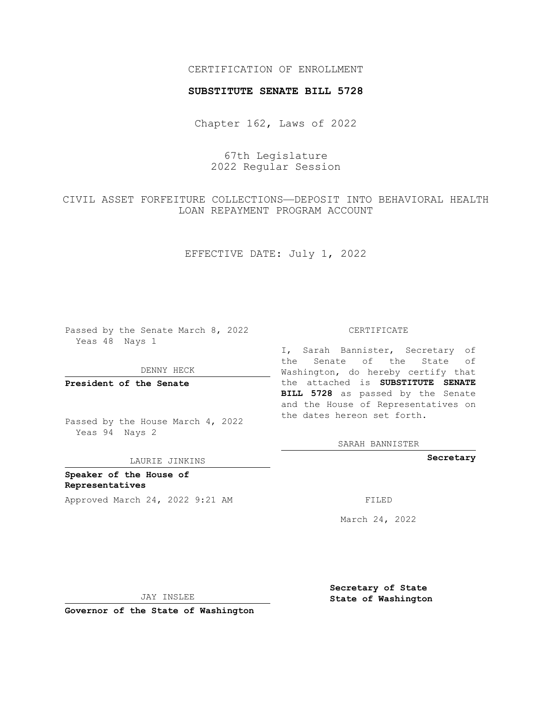## CERTIFICATION OF ENROLLMENT

### **SUBSTITUTE SENATE BILL 5728**

Chapter 162, Laws of 2022

67th Legislature 2022 Regular Session

CIVIL ASSET FORFEITURE COLLECTIONS—DEPOSIT INTO BEHAVIORAL HEALTH LOAN REPAYMENT PROGRAM ACCOUNT

EFFECTIVE DATE: July 1, 2022

Passed by the Senate March 8, 2022 Yeas 48 Nays 1

DENNY HECK

**President of the Senate**

Passed by the House March 4, 2022 Yeas 94 Nays 2

LAURIE JINKINS

**Speaker of the House of Representatives** Approved March 24, 2022 9:21 AM

#### CERTIFICATE

I, Sarah Bannister, Secretary of the Senate of the State of Washington, do hereby certify that the attached is **SUBSTITUTE SENATE BILL 5728** as passed by the Senate and the House of Representatives on the dates hereon set forth.

SARAH BANNISTER

**Secretary**

March 24, 2022

JAY INSLEE

**Governor of the State of Washington**

**Secretary of State State of Washington**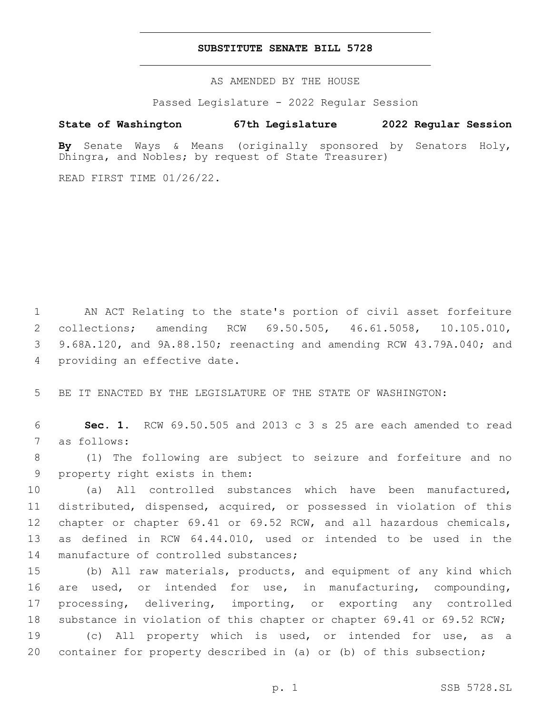### **SUBSTITUTE SENATE BILL 5728**

AS AMENDED BY THE HOUSE

Passed Legislature - 2022 Regular Session

# **State of Washington 67th Legislature 2022 Regular Session**

**By** Senate Ways & Means (originally sponsored by Senators Holy, Dhingra, and Nobles; by request of State Treasurer)

READ FIRST TIME 01/26/22.

 AN ACT Relating to the state's portion of civil asset forfeiture collections; amending RCW 69.50.505, 46.61.5058, 10.105.010, 9.68A.120, and 9A.88.150; reenacting and amending RCW 43.79A.040; and 4 providing an effective date.

5 BE IT ENACTED BY THE LEGISLATURE OF THE STATE OF WASHINGTON:

6 **Sec. 1.** RCW 69.50.505 and 2013 c 3 s 25 are each amended to read 7 as follows:

8 (1) The following are subject to seizure and forfeiture and no 9 property right exists in them:

 (a) All controlled substances which have been manufactured, distributed, dispensed, acquired, or possessed in violation of this chapter or chapter 69.41 or 69.52 RCW, and all hazardous chemicals, as defined in RCW 64.44.010, used or intended to be used in the 14 manufacture of controlled substances;

 (b) All raw materials, products, and equipment of any kind which are used, or intended for use, in manufacturing, compounding, processing, delivering, importing, or exporting any controlled substance in violation of this chapter or chapter 69.41 or 69.52 RCW; (c) All property which is used, or intended for use, as a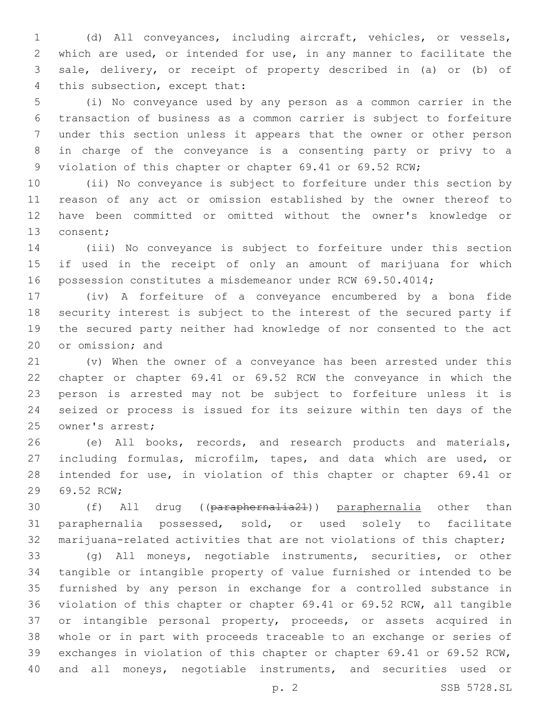(d) All conveyances, including aircraft, vehicles, or vessels, which are used, or intended for use, in any manner to facilitate the sale, delivery, or receipt of property described in (a) or (b) of 4 this subsection, except that:

 (i) No conveyance used by any person as a common carrier in the transaction of business as a common carrier is subject to forfeiture under this section unless it appears that the owner or other person in charge of the conveyance is a consenting party or privy to a violation of this chapter or chapter 69.41 or 69.52 RCW;

 (ii) No conveyance is subject to forfeiture under this section by reason of any act or omission established by the owner thereof to have been committed or omitted without the owner's knowledge or 13 consent;

 (iii) No conveyance is subject to forfeiture under this section if used in the receipt of only an amount of marijuana for which possession constitutes a misdemeanor under RCW 69.50.4014;

 (iv) A forfeiture of a conveyance encumbered by a bona fide security interest is subject to the interest of the secured party if the secured party neither had knowledge of nor consented to the act 20 or omission; and

 (v) When the owner of a conveyance has been arrested under this chapter or chapter 69.41 or 69.52 RCW the conveyance in which the person is arrested may not be subject to forfeiture unless it is seized or process is issued for its seizure within ten days of the 25 owner's arrest;

 (e) All books, records, and research products and materials, including formulas, microfilm, tapes, and data which are used, or intended for use, in violation of this chapter or chapter 69.41 or 29 69.52 RCW;

 (f) All drug ((paraphernalia21)) paraphernalia other than paraphernalia possessed, sold, or used solely to facilitate marijuana-related activities that are not violations of this chapter;

 (g) All moneys, negotiable instruments, securities, or other tangible or intangible property of value furnished or intended to be furnished by any person in exchange for a controlled substance in violation of this chapter or chapter 69.41 or 69.52 RCW, all tangible or intangible personal property, proceeds, or assets acquired in whole or in part with proceeds traceable to an exchange or series of exchanges in violation of this chapter or chapter 69.41 or 69.52 RCW, and all moneys, negotiable instruments, and securities used or

p. 2 SSB 5728.SL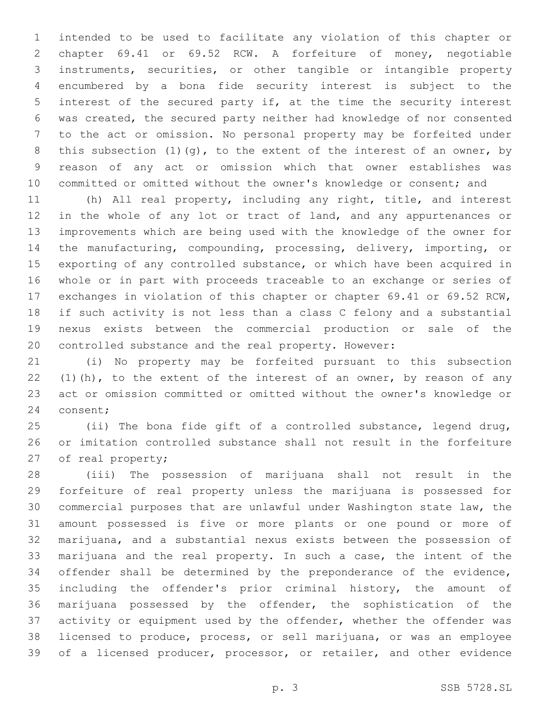intended to be used to facilitate any violation of this chapter or chapter 69.41 or 69.52 RCW. A forfeiture of money, negotiable instruments, securities, or other tangible or intangible property encumbered by a bona fide security interest is subject to the interest of the secured party if, at the time the security interest was created, the secured party neither had knowledge of nor consented to the act or omission. No personal property may be forfeited under 8 this subsection  $(1)(q)$ , to the extent of the interest of an owner, by reason of any act or omission which that owner establishes was committed or omitted without the owner's knowledge or consent; and

 (h) All real property, including any right, title, and interest 12 in the whole of any lot or tract of land, and any appurtenances or improvements which are being used with the knowledge of the owner for the manufacturing, compounding, processing, delivery, importing, or exporting of any controlled substance, or which have been acquired in whole or in part with proceeds traceable to an exchange or series of exchanges in violation of this chapter or chapter 69.41 or 69.52 RCW, if such activity is not less than a class C felony and a substantial nexus exists between the commercial production or sale of the controlled substance and the real property. However:

 (i) No property may be forfeited pursuant to this subsection 22 (1)(h), to the extent of the interest of an owner, by reason of any act or omission committed or omitted without the owner's knowledge or 24 consent;

 (ii) The bona fide gift of a controlled substance, legend drug, or imitation controlled substance shall not result in the forfeiture 27 of real property;

 (iii) The possession of marijuana shall not result in the forfeiture of real property unless the marijuana is possessed for commercial purposes that are unlawful under Washington state law, the amount possessed is five or more plants or one pound or more of marijuana, and a substantial nexus exists between the possession of marijuana and the real property. In such a case, the intent of the offender shall be determined by the preponderance of the evidence, including the offender's prior criminal history, the amount of marijuana possessed by the offender, the sophistication of the activity or equipment used by the offender, whether the offender was licensed to produce, process, or sell marijuana, or was an employee 39 of a licensed producer, processor, or retailer, and other evidence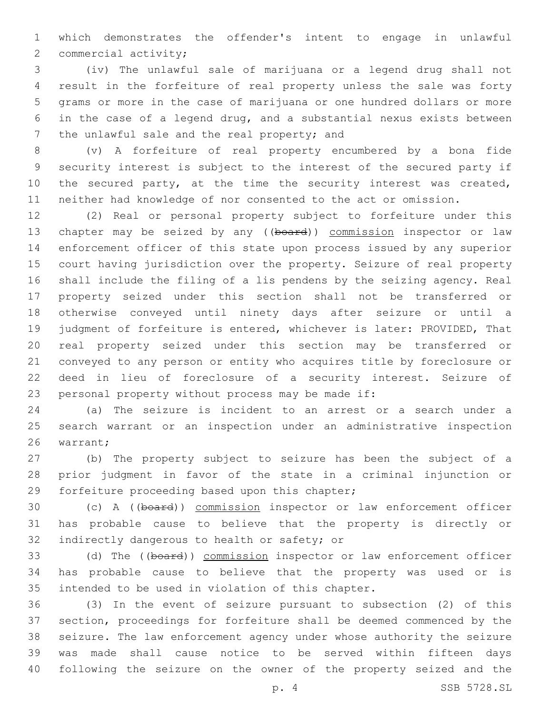which demonstrates the offender's intent to engage in unlawful 2 commercial activity;

 (iv) The unlawful sale of marijuana or a legend drug shall not result in the forfeiture of real property unless the sale was forty grams or more in the case of marijuana or one hundred dollars or more in the case of a legend drug, and a substantial nexus exists between 7 the unlawful sale and the real property; and

 (v) A forfeiture of real property encumbered by a bona fide security interest is subject to the interest of the secured party if 10 the secured party, at the time the security interest was created, neither had knowledge of nor consented to the act or omission.

 (2) Real or personal property subject to forfeiture under this 13 chapter may be seized by any ((board)) commission inspector or law enforcement officer of this state upon process issued by any superior court having jurisdiction over the property. Seizure of real property shall include the filing of a lis pendens by the seizing agency. Real property seized under this section shall not be transferred or otherwise conveyed until ninety days after seizure or until a judgment of forfeiture is entered, whichever is later: PROVIDED, That real property seized under this section may be transferred or conveyed to any person or entity who acquires title by foreclosure or deed in lieu of foreclosure of a security interest. Seizure of 23 personal property without process may be made if:

 (a) The seizure is incident to an arrest or a search under a search warrant or an inspection under an administrative inspection 26 warrant;

 (b) The property subject to seizure has been the subject of a prior judgment in favor of the state in a criminal injunction or 29 forfeiture proceeding based upon this chapter;

 (c) A ((board)) commission inspector or law enforcement officer has probable cause to believe that the property is directly or 32 indirectly dangerous to health or safety; or

33 (d) The ((board)) commission inspector or law enforcement officer has probable cause to believe that the property was used or is 35 intended to be used in violation of this chapter.

 (3) In the event of seizure pursuant to subsection (2) of this section, proceedings for forfeiture shall be deemed commenced by the seizure. The law enforcement agency under whose authority the seizure was made shall cause notice to be served within fifteen days following the seizure on the owner of the property seized and the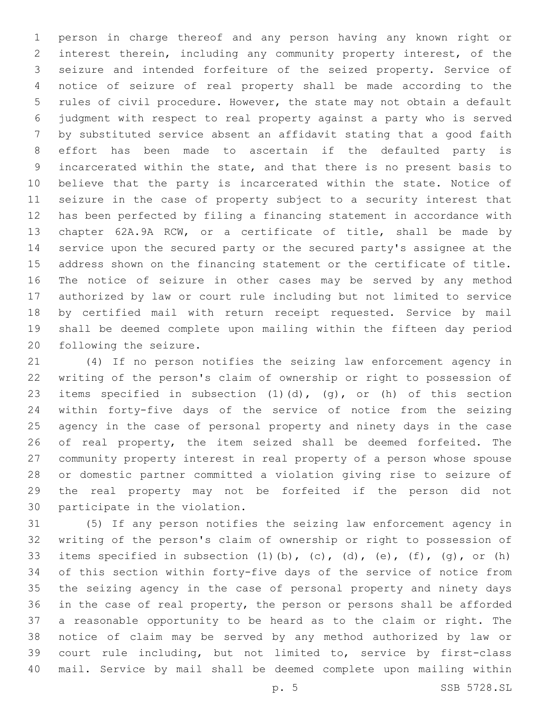person in charge thereof and any person having any known right or interest therein, including any community property interest, of the seizure and intended forfeiture of the seized property. Service of notice of seizure of real property shall be made according to the rules of civil procedure. However, the state may not obtain a default judgment with respect to real property against a party who is served by substituted service absent an affidavit stating that a good faith effort has been made to ascertain if the defaulted party is incarcerated within the state, and that there is no present basis to believe that the party is incarcerated within the state. Notice of seizure in the case of property subject to a security interest that has been perfected by filing a financing statement in accordance with chapter 62A.9A RCW, or a certificate of title, shall be made by service upon the secured party or the secured party's assignee at the address shown on the financing statement or the certificate of title. The notice of seizure in other cases may be served by any method authorized by law or court rule including but not limited to service by certified mail with return receipt requested. Service by mail shall be deemed complete upon mailing within the fifteen day period 20 following the seizure.

 (4) If no person notifies the seizing law enforcement agency in writing of the person's claim of ownership or right to possession of items specified in subsection (1)(d), (g), or (h) of this section within forty-five days of the service of notice from the seizing agency in the case of personal property and ninety days in the case 26 of real property, the item seized shall be deemed forfeited. The community property interest in real property of a person whose spouse or domestic partner committed a violation giving rise to seizure of the real property may not be forfeited if the person did not 30 participate in the violation.

 (5) If any person notifies the seizing law enforcement agency in writing of the person's claim of ownership or right to possession of 33 items specified in subsection  $(1)$   $(b)$ ,  $(c)$ ,  $(d)$ ,  $(e)$ ,  $(f)$ ,  $(q)$ , or  $(h)$  of this section within forty-five days of the service of notice from the seizing agency in the case of personal property and ninety days in the case of real property, the person or persons shall be afforded a reasonable opportunity to be heard as to the claim or right. The notice of claim may be served by any method authorized by law or court rule including, but not limited to, service by first-class mail. Service by mail shall be deemed complete upon mailing within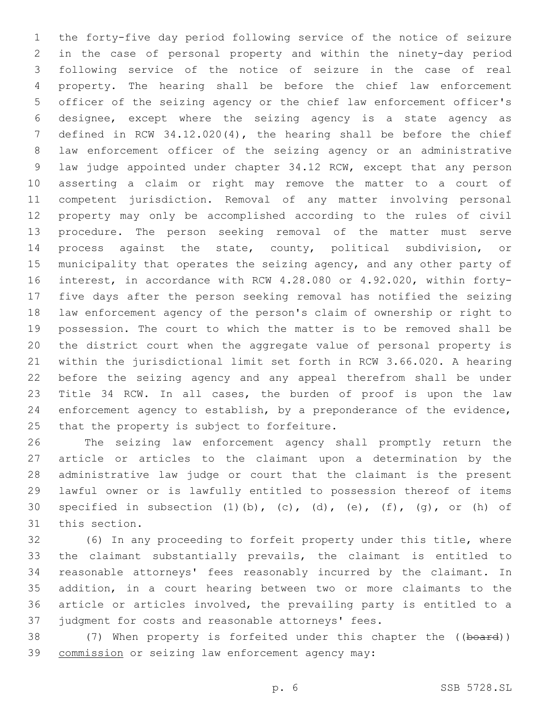the forty-five day period following service of the notice of seizure in the case of personal property and within the ninety-day period following service of the notice of seizure in the case of real property. The hearing shall be before the chief law enforcement officer of the seizing agency or the chief law enforcement officer's designee, except where the seizing agency is a state agency as defined in RCW 34.12.020(4), the hearing shall be before the chief law enforcement officer of the seizing agency or an administrative law judge appointed under chapter 34.12 RCW, except that any person asserting a claim or right may remove the matter to a court of competent jurisdiction. Removal of any matter involving personal property may only be accomplished according to the rules of civil procedure. The person seeking removal of the matter must serve process against the state, county, political subdivision, or 15 municipality that operates the seizing agency, and any other party of interest, in accordance with RCW 4.28.080 or 4.92.020, within forty- five days after the person seeking removal has notified the seizing law enforcement agency of the person's claim of ownership or right to possession. The court to which the matter is to be removed shall be the district court when the aggregate value of personal property is within the jurisdictional limit set forth in RCW 3.66.020. A hearing before the seizing agency and any appeal therefrom shall be under Title 34 RCW. In all cases, the burden of proof is upon the law enforcement agency to establish, by a preponderance of the evidence, 25 that the property is subject to forfeiture.

 The seizing law enforcement agency shall promptly return the article or articles to the claimant upon a determination by the administrative law judge or court that the claimant is the present lawful owner or is lawfully entitled to possession thereof of items 30 specified in subsection  $(1)$   $(b)$ ,  $(c)$ ,  $(d)$ ,  $(e)$ ,  $(f)$ ,  $(q)$ , or  $(h)$  of 31 this section.

 (6) In any proceeding to forfeit property under this title, where the claimant substantially prevails, the claimant is entitled to reasonable attorneys' fees reasonably incurred by the claimant. In addition, in a court hearing between two or more claimants to the article or articles involved, the prevailing party is entitled to a judgment for costs and reasonable attorneys' fees.

38 (7) When property is forfeited under this chapter the ((board)) 39 commission or seizing law enforcement agency may: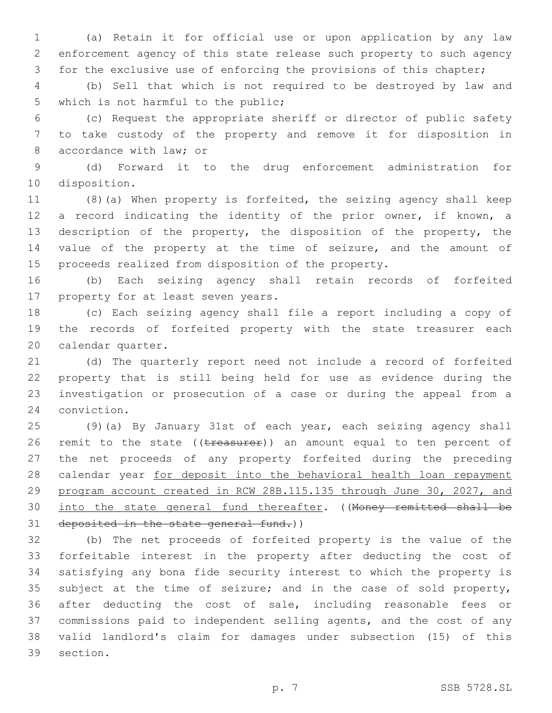(a) Retain it for official use or upon application by any law enforcement agency of this state release such property to such agency for the exclusive use of enforcing the provisions of this chapter;

 (b) Sell that which is not required to be destroyed by law and 5 which is not harmful to the public;

 (c) Request the appropriate sheriff or director of public safety to take custody of the property and remove it for disposition in 8 accordance with law; or

 (d) Forward it to the drug enforcement administration for 10 disposition.

 (8)(a) When property is forfeited, the seizing agency shall keep a record indicating the identity of the prior owner, if known, a description of the property, the disposition of the property, the value of the property at the time of seizure, and the amount of proceeds realized from disposition of the property.

 (b) Each seizing agency shall retain records of forfeited 17 property for at least seven years.

 (c) Each seizing agency shall file a report including a copy of the records of forfeited property with the state treasurer each 20 calendar quarter.

 (d) The quarterly report need not include a record of forfeited property that is still being held for use as evidence during the investigation or prosecution of a case or during the appeal from a 24 conviction.

 (9)(a) By January 31st of each year, each seizing agency shall 26 remit to the state ((treasurer)) an amount equal to ten percent of the net proceeds of any property forfeited during the preceding 28 calendar year for deposit into the behavioral health loan repayment program account created in RCW 28B.115.135 through June 30, 2027, and 30 into the state general fund thereafter. ((Money remitted shall be 31 deposited in the state general fund.))

 (b) The net proceeds of forfeited property is the value of the forfeitable interest in the property after deducting the cost of satisfying any bona fide security interest to which the property is subject at the time of seizure; and in the case of sold property, after deducting the cost of sale, including reasonable fees or commissions paid to independent selling agents, and the cost of any valid landlord's claim for damages under subsection (15) of this 39 section.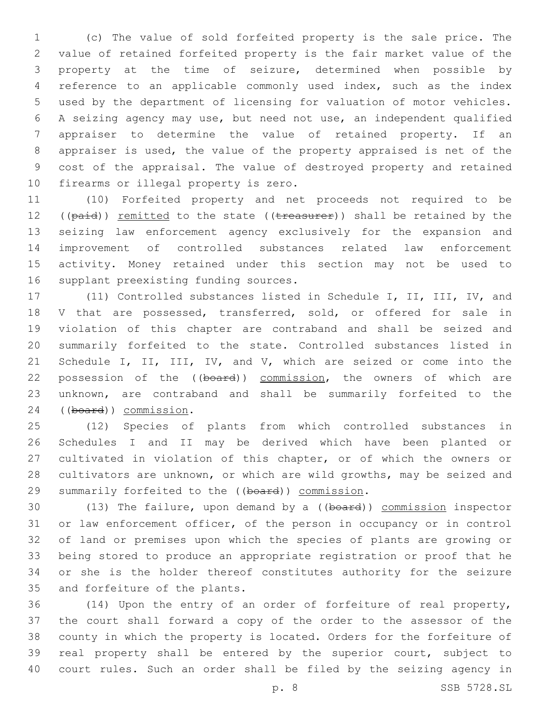(c) The value of sold forfeited property is the sale price. The value of retained forfeited property is the fair market value of the property at the time of seizure, determined when possible by reference to an applicable commonly used index, such as the index used by the department of licensing for valuation of motor vehicles. A seizing agency may use, but need not use, an independent qualified appraiser to determine the value of retained property. If an appraiser is used, the value of the property appraised is net of the cost of the appraisal. The value of destroyed property and retained 10 firearms or illegal property is zero.

 (10) Forfeited property and net proceeds not required to be 12 (( $paid$ )) remitted to the state (( $t$ reasurer)) shall be retained by the seizing law enforcement agency exclusively for the expansion and improvement of controlled substances related law enforcement activity. Money retained under this section may not be used to 16 supplant preexisting funding sources.

 (11) Controlled substances listed in Schedule I, II, III, IV, and 18 V that are possessed, transferred, sold, or offered for sale in violation of this chapter are contraband and shall be seized and summarily forfeited to the state. Controlled substances listed in 21 Schedule I, II, III, IV, and V, which are seized or come into the 22 possession of the ((board)) commission, the owners of which are unknown, are contraband and shall be summarily forfeited to the 24 ((board)) commission.

 (12) Species of plants from which controlled substances in Schedules I and II may be derived which have been planted or cultivated in violation of this chapter, or of which the owners or cultivators are unknown, or which are wild growths, may be seized and 29 summarily forfeited to the ((board)) commission.

 (13) The failure, upon demand by a ((board)) commission inspector or law enforcement officer, of the person in occupancy or in control of land or premises upon which the species of plants are growing or being stored to produce an appropriate registration or proof that he or she is the holder thereof constitutes authority for the seizure 35 and forfeiture of the plants.

 (14) Upon the entry of an order of forfeiture of real property, the court shall forward a copy of the order to the assessor of the county in which the property is located. Orders for the forfeiture of real property shall be entered by the superior court, subject to court rules. Such an order shall be filed by the seizing agency in

p. 8 SSB 5728.SL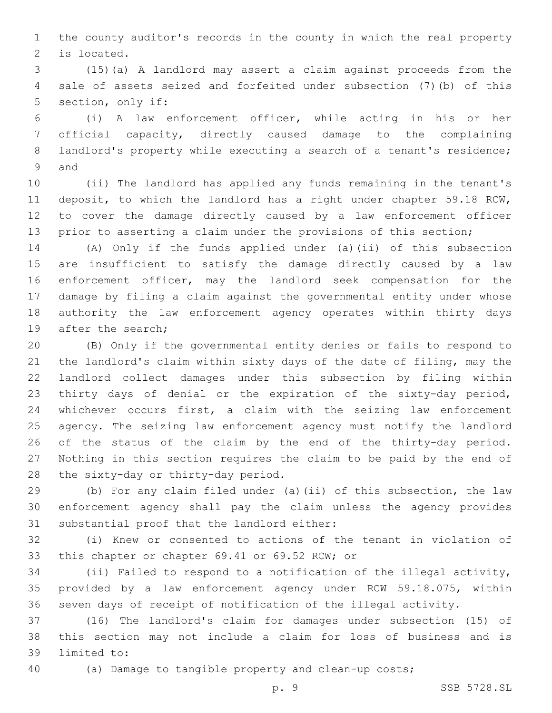the county auditor's records in the county in which the real property 2 is located.

 (15)(a) A landlord may assert a claim against proceeds from the sale of assets seized and forfeited under subsection (7)(b) of this 5 section, only if:

 (i) A law enforcement officer, while acting in his or her official capacity, directly caused damage to the complaining 8 landlord's property while executing a search of a tenant's residence; 9 and

 (ii) The landlord has applied any funds remaining in the tenant's deposit, to which the landlord has a right under chapter 59.18 RCW, to cover the damage directly caused by a law enforcement officer prior to asserting a claim under the provisions of this section;

 (A) Only if the funds applied under (a)(ii) of this subsection are insufficient to satisfy the damage directly caused by a law enforcement officer, may the landlord seek compensation for the damage by filing a claim against the governmental entity under whose authority the law enforcement agency operates within thirty days 19 after the search;

 (B) Only if the governmental entity denies or fails to respond to the landlord's claim within sixty days of the date of filing, may the landlord collect damages under this subsection by filing within thirty days of denial or the expiration of the sixty-day period, whichever occurs first, a claim with the seizing law enforcement agency. The seizing law enforcement agency must notify the landlord of the status of the claim by the end of the thirty-day period. Nothing in this section requires the claim to be paid by the end of 28 the sixty-day or thirty-day period.

 (b) For any claim filed under (a)(ii) of this subsection, the law enforcement agency shall pay the claim unless the agency provides 31 substantial proof that the landlord either:

 (i) Knew or consented to actions of the tenant in violation of 33 this chapter or chapter 69.41 or 69.52 RCW; or

 (ii) Failed to respond to a notification of the illegal activity, provided by a law enforcement agency under RCW 59.18.075, within seven days of receipt of notification of the illegal activity.

 (16) The landlord's claim for damages under subsection (15) of this section may not include a claim for loss of business and is 39 limited to:

(a) Damage to tangible property and clean-up costs;

p. 9 SSB 5728.SL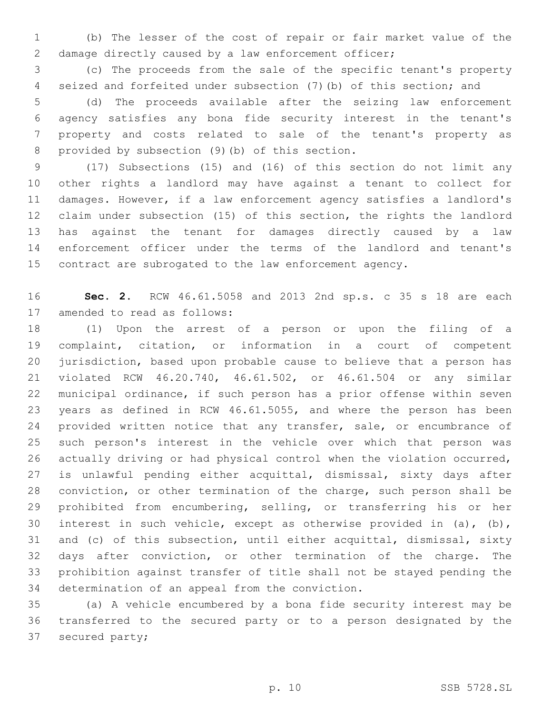(b) The lesser of the cost of repair or fair market value of the damage directly caused by a law enforcement officer;

 (c) The proceeds from the sale of the specific tenant's property seized and forfeited under subsection (7)(b) of this section; and

 (d) The proceeds available after the seizing law enforcement agency satisfies any bona fide security interest in the tenant's property and costs related to sale of the tenant's property as 8 provided by subsection (9) (b) of this section.

 (17) Subsections (15) and (16) of this section do not limit any other rights a landlord may have against a tenant to collect for damages. However, if a law enforcement agency satisfies a landlord's claim under subsection (15) of this section, the rights the landlord has against the tenant for damages directly caused by a law enforcement officer under the terms of the landlord and tenant's contract are subrogated to the law enforcement agency.

 **Sec. 2.** RCW 46.61.5058 and 2013 2nd sp.s. c 35 s 18 are each 17 amended to read as follows:

 (1) Upon the arrest of a person or upon the filing of a complaint, citation, or information in a court of competent jurisdiction, based upon probable cause to believe that a person has violated RCW 46.20.740, 46.61.502, or 46.61.504 or any similar municipal ordinance, if such person has a prior offense within seven years as defined in RCW 46.61.5055, and where the person has been 24 provided written notice that any transfer, sale, or encumbrance of such person's interest in the vehicle over which that person was actually driving or had physical control when the violation occurred, is unlawful pending either acquittal, dismissal, sixty days after conviction, or other termination of the charge, such person shall be prohibited from encumbering, selling, or transferring his or her interest in such vehicle, except as otherwise provided in (a), (b), and (c) of this subsection, until either acquittal, dismissal, sixty days after conviction, or other termination of the charge. The prohibition against transfer of title shall not be stayed pending the 34 determination of an appeal from the conviction.

 (a) A vehicle encumbered by a bona fide security interest may be transferred to the secured party or to a person designated by the 37 secured party;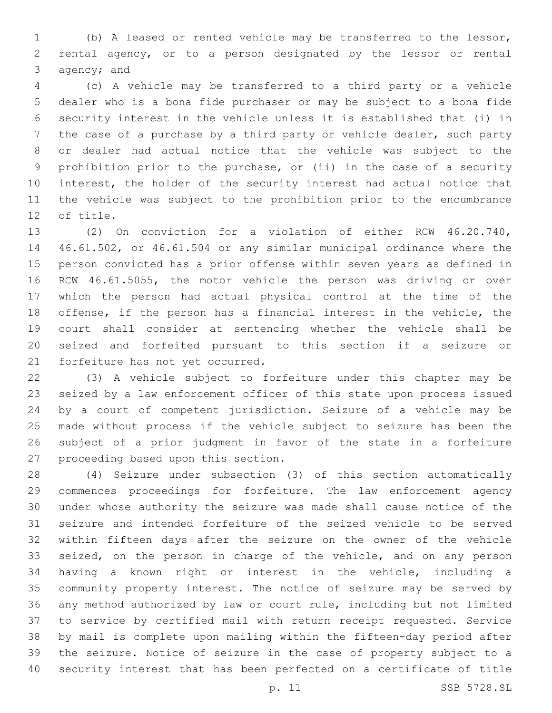(b) A leased or rented vehicle may be transferred to the lessor, rental agency, or to a person designated by the lessor or rental 3  $aqency; and$ 

 (c) A vehicle may be transferred to a third party or a vehicle dealer who is a bona fide purchaser or may be subject to a bona fide security interest in the vehicle unless it is established that (i) in the case of a purchase by a third party or vehicle dealer, such party or dealer had actual notice that the vehicle was subject to the prohibition prior to the purchase, or (ii) in the case of a security interest, the holder of the security interest had actual notice that the vehicle was subject to the prohibition prior to the encumbrance 12 of title.

 (2) On conviction for a violation of either RCW 46.20.740, 46.61.502, or 46.61.504 or any similar municipal ordinance where the person convicted has a prior offense within seven years as defined in RCW 46.61.5055, the motor vehicle the person was driving or over which the person had actual physical control at the time of the offense, if the person has a financial interest in the vehicle, the court shall consider at sentencing whether the vehicle shall be seized and forfeited pursuant to this section if a seizure or 21 forfeiture has not yet occurred.

 (3) A vehicle subject to forfeiture under this chapter may be seized by a law enforcement officer of this state upon process issued by a court of competent jurisdiction. Seizure of a vehicle may be made without process if the vehicle subject to seizure has been the subject of a prior judgment in favor of the state in a forfeiture 27 proceeding based upon this section.

 (4) Seizure under subsection (3) of this section automatically commences proceedings for forfeiture. The law enforcement agency under whose authority the seizure was made shall cause notice of the seizure and intended forfeiture of the seized vehicle to be served within fifteen days after the seizure on the owner of the vehicle seized, on the person in charge of the vehicle, and on any person having a known right or interest in the vehicle, including a community property interest. The notice of seizure may be served by any method authorized by law or court rule, including but not limited to service by certified mail with return receipt requested. Service by mail is complete upon mailing within the fifteen-day period after the seizure. Notice of seizure in the case of property subject to a security interest that has been perfected on a certificate of title

p. 11 SSB 5728.SL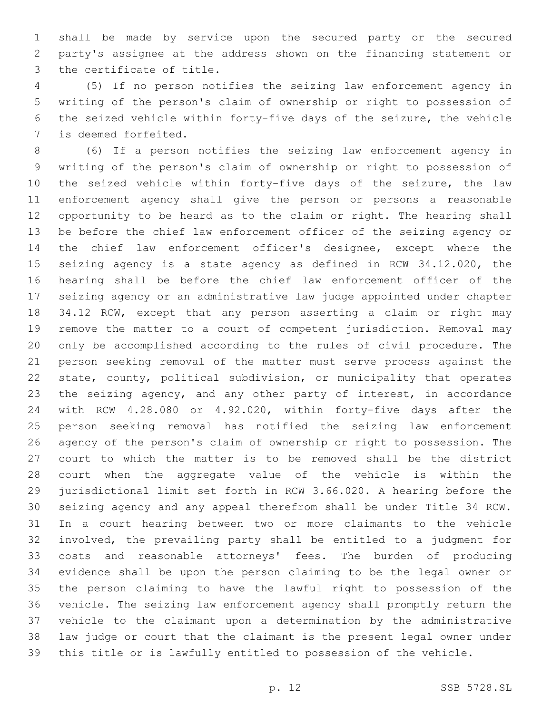shall be made by service upon the secured party or the secured party's assignee at the address shown on the financing statement or 3 the certificate of title.

 (5) If no person notifies the seizing law enforcement agency in writing of the person's claim of ownership or right to possession of the seized vehicle within forty-five days of the seizure, the vehicle 7 is deemed forfeited.

 (6) If a person notifies the seizing law enforcement agency in writing of the person's claim of ownership or right to possession of the seized vehicle within forty-five days of the seizure, the law enforcement agency shall give the person or persons a reasonable opportunity to be heard as to the claim or right. The hearing shall be before the chief law enforcement officer of the seizing agency or the chief law enforcement officer's designee, except where the seizing agency is a state agency as defined in RCW 34.12.020, the hearing shall be before the chief law enforcement officer of the seizing agency or an administrative law judge appointed under chapter 34.12 RCW, except that any person asserting a claim or right may remove the matter to a court of competent jurisdiction. Removal may only be accomplished according to the rules of civil procedure. The person seeking removal of the matter must serve process against the state, county, political subdivision, or municipality that operates the seizing agency, and any other party of interest, in accordance with RCW 4.28.080 or 4.92.020, within forty-five days after the person seeking removal has notified the seizing law enforcement agency of the person's claim of ownership or right to possession. The court to which the matter is to be removed shall be the district court when the aggregate value of the vehicle is within the jurisdictional limit set forth in RCW 3.66.020. A hearing before the seizing agency and any appeal therefrom shall be under Title 34 RCW. In a court hearing between two or more claimants to the vehicle involved, the prevailing party shall be entitled to a judgment for costs and reasonable attorneys' fees. The burden of producing evidence shall be upon the person claiming to be the legal owner or the person claiming to have the lawful right to possession of the vehicle. The seizing law enforcement agency shall promptly return the vehicle to the claimant upon a determination by the administrative law judge or court that the claimant is the present legal owner under this title or is lawfully entitled to possession of the vehicle.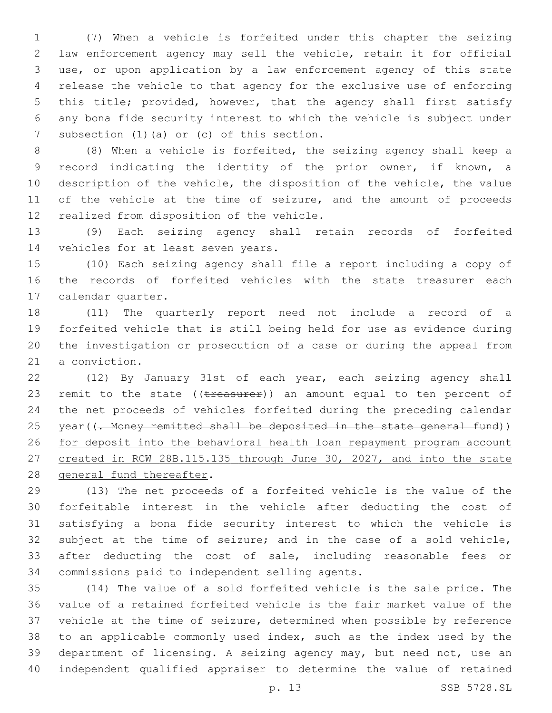(7) When a vehicle is forfeited under this chapter the seizing law enforcement agency may sell the vehicle, retain it for official use, or upon application by a law enforcement agency of this state release the vehicle to that agency for the exclusive use of enforcing this title; provided, however, that the agency shall first satisfy any bona fide security interest to which the vehicle is subject under 7 subsection (1) (a) or (c) of this section.

 (8) When a vehicle is forfeited, the seizing agency shall keep a record indicating the identity of the prior owner, if known, a description of the vehicle, the disposition of the vehicle, the value 11 of the vehicle at the time of seizure, and the amount of proceeds 12 realized from disposition of the vehicle.

 (9) Each seizing agency shall retain records of forfeited 14 vehicles for at least seven years.

 (10) Each seizing agency shall file a report including a copy of the records of forfeited vehicles with the state treasurer each 17 calendar quarter.

 (11) The quarterly report need not include a record of a forfeited vehicle that is still being held for use as evidence during the investigation or prosecution of a case or during the appeal from 21 a conviction.

 (12) By January 31st of each year, each seizing agency shall 23 remit to the state  $((\text{treatest})$  an amount equal to ten percent of the net proceeds of vehicles forfeited during the preceding calendar 25 year((<del>. Money remitted shall be deposited in the state general fund</del>)) for deposit into the behavioral health loan repayment program account created in RCW 28B.115.135 through June 30, 2027, and into the state 28 general fund thereafter.

 (13) The net proceeds of a forfeited vehicle is the value of the forfeitable interest in the vehicle after deducting the cost of satisfying a bona fide security interest to which the vehicle is subject at the time of seizure; and in the case of a sold vehicle, after deducting the cost of sale, including reasonable fees or 34 commissions paid to independent selling agents.

 (14) The value of a sold forfeited vehicle is the sale price. The value of a retained forfeited vehicle is the fair market value of the vehicle at the time of seizure, determined when possible by reference to an applicable commonly used index, such as the index used by the department of licensing. A seizing agency may, but need not, use an independent qualified appraiser to determine the value of retained

p. 13 SSB 5728.SL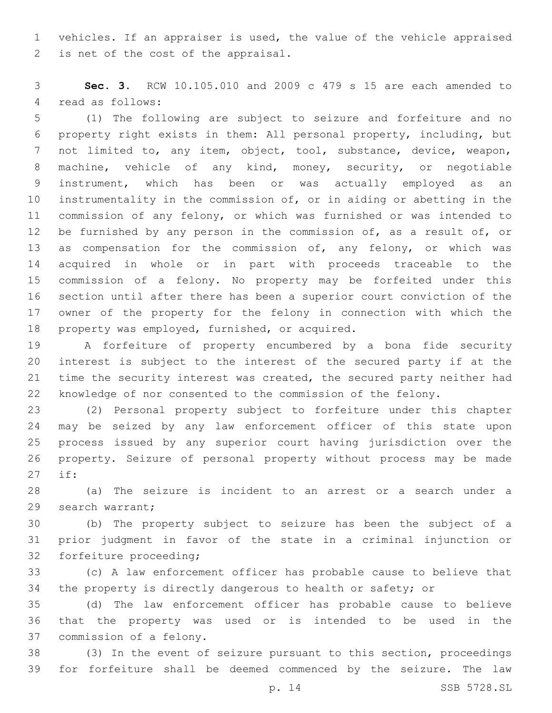vehicles. If an appraiser is used, the value of the vehicle appraised 2 is net of the cost of the appraisal.

 **Sec. 3.** RCW 10.105.010 and 2009 c 479 s 15 are each amended to 4 read as follows:

 (1) The following are subject to seizure and forfeiture and no property right exists in them: All personal property, including, but not limited to, any item, object, tool, substance, device, weapon, machine, vehicle of any kind, money, security, or negotiable instrument, which has been or was actually employed as an instrumentality in the commission of, or in aiding or abetting in the commission of any felony, or which was furnished or was intended to 12 be furnished by any person in the commission of, as a result of, or 13 as compensation for the commission of, any felony, or which was acquired in whole or in part with proceeds traceable to the commission of a felony. No property may be forfeited under this section until after there has been a superior court conviction of the owner of the property for the felony in connection with which the 18 property was employed, furnished, or acquired.

 A forfeiture of property encumbered by a bona fide security interest is subject to the interest of the secured party if at the time the security interest was created, the secured party neither had knowledge of nor consented to the commission of the felony.

 (2) Personal property subject to forfeiture under this chapter may be seized by any law enforcement officer of this state upon process issued by any superior court having jurisdiction over the property. Seizure of personal property without process may be made if:27

 (a) The seizure is incident to an arrest or a search under a 29 search warrant;

 (b) The property subject to seizure has been the subject of a prior judgment in favor of the state in a criminal injunction or 32 forfeiture proceeding;

 (c) A law enforcement officer has probable cause to believe that the property is directly dangerous to health or safety; or

 (d) The law enforcement officer has probable cause to believe that the property was used or is intended to be used in the 37 commission of a felony.

 (3) In the event of seizure pursuant to this section, proceedings for forfeiture shall be deemed commenced by the seizure. The law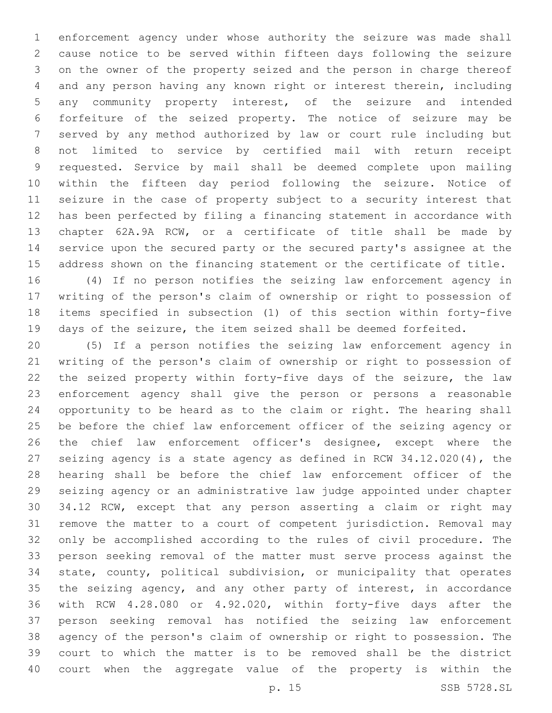enforcement agency under whose authority the seizure was made shall cause notice to be served within fifteen days following the seizure on the owner of the property seized and the person in charge thereof and any person having any known right or interest therein, including any community property interest, of the seizure and intended forfeiture of the seized property. The notice of seizure may be served by any method authorized by law or court rule including but not limited to service by certified mail with return receipt requested. Service by mail shall be deemed complete upon mailing within the fifteen day period following the seizure. Notice of seizure in the case of property subject to a security interest that has been perfected by filing a financing statement in accordance with chapter 62A.9A RCW, or a certificate of title shall be made by service upon the secured party or the secured party's assignee at the address shown on the financing statement or the certificate of title.

 (4) If no person notifies the seizing law enforcement agency in writing of the person's claim of ownership or right to possession of items specified in subsection (1) of this section within forty-five days of the seizure, the item seized shall be deemed forfeited.

 (5) If a person notifies the seizing law enforcement agency in writing of the person's claim of ownership or right to possession of the seized property within forty-five days of the seizure, the law enforcement agency shall give the person or persons a reasonable opportunity to be heard as to the claim or right. The hearing shall be before the chief law enforcement officer of the seizing agency or the chief law enforcement officer's designee, except where the seizing agency is a state agency as defined in RCW 34.12.020(4), the hearing shall be before the chief law enforcement officer of the seizing agency or an administrative law judge appointed under chapter 34.12 RCW, except that any person asserting a claim or right may remove the matter to a court of competent jurisdiction. Removal may only be accomplished according to the rules of civil procedure. The person seeking removal of the matter must serve process against the state, county, political subdivision, or municipality that operates the seizing agency, and any other party of interest, in accordance with RCW 4.28.080 or 4.92.020, within forty-five days after the person seeking removal has notified the seizing law enforcement agency of the person's claim of ownership or right to possession. The court to which the matter is to be removed shall be the district court when the aggregate value of the property is within the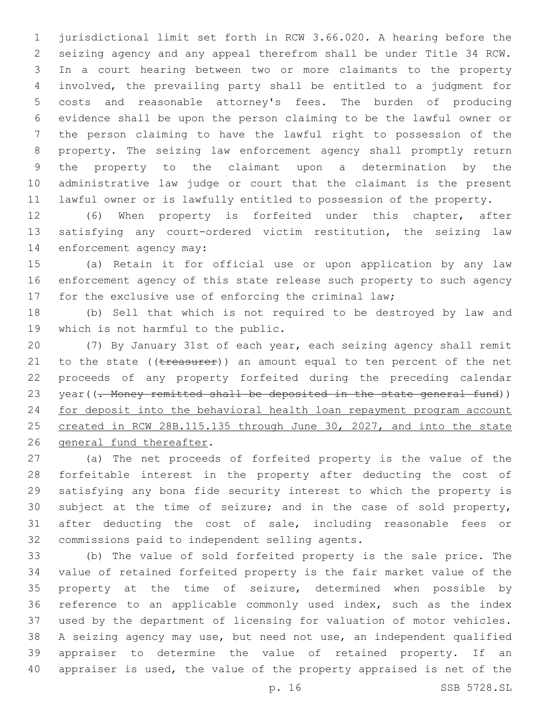jurisdictional limit set forth in RCW 3.66.020. A hearing before the seizing agency and any appeal therefrom shall be under Title 34 RCW. In a court hearing between two or more claimants to the property involved, the prevailing party shall be entitled to a judgment for costs and reasonable attorney's fees. The burden of producing evidence shall be upon the person claiming to be the lawful owner or the person claiming to have the lawful right to possession of the property. The seizing law enforcement agency shall promptly return the property to the claimant upon a determination by the administrative law judge or court that the claimant is the present lawful owner or is lawfully entitled to possession of the property.

 (6) When property is forfeited under this chapter, after satisfying any court-ordered victim restitution, the seizing law 14 enforcement agency may:

 (a) Retain it for official use or upon application by any law enforcement agency of this state release such property to such agency for the exclusive use of enforcing the criminal law;

 (b) Sell that which is not required to be destroyed by law and 19 which is not harmful to the public.

 (7) By January 31st of each year, each seizing agency shall remit 21 to the state ((treasurer)) an amount equal to ten percent of the net proceeds of any property forfeited during the preceding calendar 23 year((- Money remitted shall be deposited in the state general fund)) 24 for deposit into the behavioral health loan repayment program account 25 created in RCW 28B.115.135 through June 30, 2027, and into the state 26 general fund thereafter.

 (a) The net proceeds of forfeited property is the value of the forfeitable interest in the property after deducting the cost of satisfying any bona fide security interest to which the property is subject at the time of seizure; and in the case of sold property, after deducting the cost of sale, including reasonable fees or 32 commissions paid to independent selling agents.

 (b) The value of sold forfeited property is the sale price. The value of retained forfeited property is the fair market value of the property at the time of seizure, determined when possible by reference to an applicable commonly used index, such as the index used by the department of licensing for valuation of motor vehicles. A seizing agency may use, but need not use, an independent qualified appraiser to determine the value of retained property. If an appraiser is used, the value of the property appraised is net of the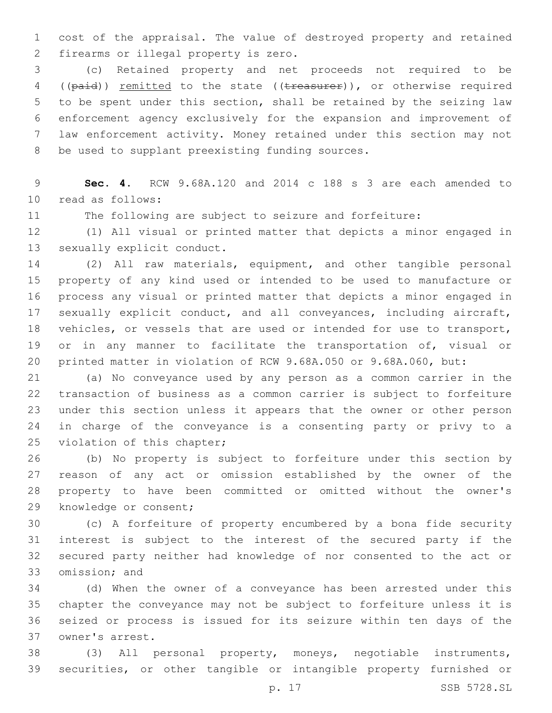cost of the appraisal. The value of destroyed property and retained 2 firearms or illegal property is zero.

 (c) Retained property and net proceeds not required to be 4 ((paid)) remitted to the state ((treasurer)), or otherwise required to be spent under this section, shall be retained by the seizing law enforcement agency exclusively for the expansion and improvement of law enforcement activity. Money retained under this section may not 8 be used to supplant preexisting funding sources.

 **Sec. 4.** RCW 9.68A.120 and 2014 c 188 s 3 are each amended to 10 read as follows:

The following are subject to seizure and forfeiture:

 (1) All visual or printed matter that depicts a minor engaged in 13 sexually explicit conduct.

 (2) All raw materials, equipment, and other tangible personal property of any kind used or intended to be used to manufacture or process any visual or printed matter that depicts a minor engaged in sexually explicit conduct, and all conveyances, including aircraft, vehicles, or vessels that are used or intended for use to transport, 19 or in any manner to facilitate the transportation of, visual or printed matter in violation of RCW 9.68A.050 or 9.68A.060, but:

 (a) No conveyance used by any person as a common carrier in the transaction of business as a common carrier is subject to forfeiture under this section unless it appears that the owner or other person in charge of the conveyance is a consenting party or privy to a 25 violation of this chapter;

 (b) No property is subject to forfeiture under this section by reason of any act or omission established by the owner of the property to have been committed or omitted without the owner's 29 knowledge or consent;

 (c) A forfeiture of property encumbered by a bona fide security interest is subject to the interest of the secured party if the secured party neither had knowledge of nor consented to the act or 33 omission; and

 (d) When the owner of a conveyance has been arrested under this chapter the conveyance may not be subject to forfeiture unless it is seized or process is issued for its seizure within ten days of the owner's arrest.37

 (3) All personal property, moneys, negotiable instruments, securities, or other tangible or intangible property furnished or

p. 17 SSB 5728.SL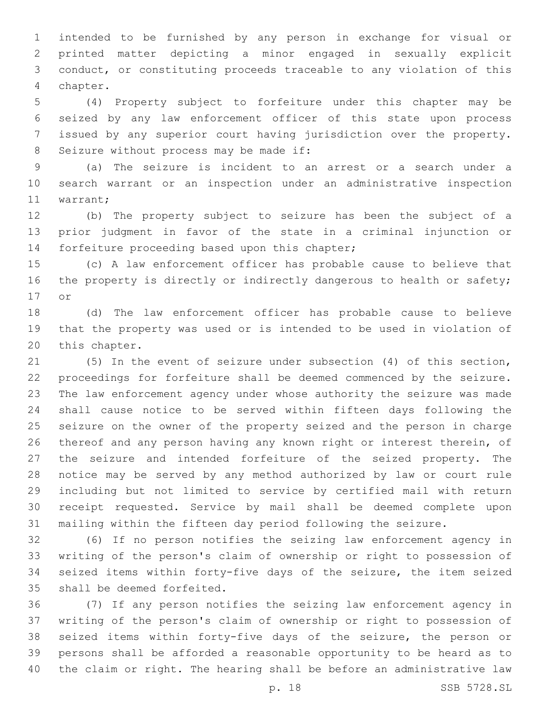intended to be furnished by any person in exchange for visual or printed matter depicting a minor engaged in sexually explicit conduct, or constituting proceeds traceable to any violation of this chapter.4

 (4) Property subject to forfeiture under this chapter may be seized by any law enforcement officer of this state upon process issued by any superior court having jurisdiction over the property. 8 Seizure without process may be made if:

 (a) The seizure is incident to an arrest or a search under a search warrant or an inspection under an administrative inspection 11 warrant;

 (b) The property subject to seizure has been the subject of a prior judgment in favor of the state in a criminal injunction or 14 forfeiture proceeding based upon this chapter;

 (c) A law enforcement officer has probable cause to believe that 16 the property is directly or indirectly dangerous to health or safety; 17 or

 (d) The law enforcement officer has probable cause to believe that the property was used or is intended to be used in violation of 20 this chapter.

 (5) In the event of seizure under subsection (4) of this section, proceedings for forfeiture shall be deemed commenced by the seizure. The law enforcement agency under whose authority the seizure was made shall cause notice to be served within fifteen days following the seizure on the owner of the property seized and the person in charge thereof and any person having any known right or interest therein, of the seizure and intended forfeiture of the seized property. The notice may be served by any method authorized by law or court rule including but not limited to service by certified mail with return receipt requested. Service by mail shall be deemed complete upon mailing within the fifteen day period following the seizure.

 (6) If no person notifies the seizing law enforcement agency in writing of the person's claim of ownership or right to possession of seized items within forty-five days of the seizure, the item seized 35 shall be deemed forfeited.

 (7) If any person notifies the seizing law enforcement agency in writing of the person's claim of ownership or right to possession of seized items within forty-five days of the seizure, the person or persons shall be afforded a reasonable opportunity to be heard as to the claim or right. The hearing shall be before an administrative law

p. 18 SSB 5728.SL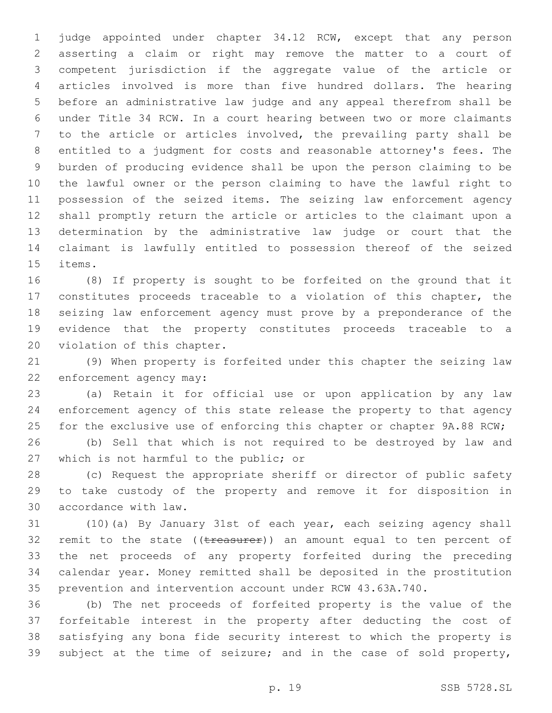judge appointed under chapter 34.12 RCW, except that any person asserting a claim or right may remove the matter to a court of competent jurisdiction if the aggregate value of the article or articles involved is more than five hundred dollars. The hearing before an administrative law judge and any appeal therefrom shall be under Title 34 RCW. In a court hearing between two or more claimants to the article or articles involved, the prevailing party shall be entitled to a judgment for costs and reasonable attorney's fees. The burden of producing evidence shall be upon the person claiming to be the lawful owner or the person claiming to have the lawful right to possession of the seized items. The seizing law enforcement agency shall promptly return the article or articles to the claimant upon a determination by the administrative law judge or court that the claimant is lawfully entitled to possession thereof of the seized 15 items.

 (8) If property is sought to be forfeited on the ground that it constitutes proceeds traceable to a violation of this chapter, the seizing law enforcement agency must prove by a preponderance of the evidence that the property constitutes proceeds traceable to a 20 violation of this chapter.

 (9) When property is forfeited under this chapter the seizing law 22 enforcement agency may:

 (a) Retain it for official use or upon application by any law enforcement agency of this state release the property to that agency 25 for the exclusive use of enforcing this chapter or chapter 9A.88 RCW;

 (b) Sell that which is not required to be destroyed by law and 27 which is not harmful to the public; or

 (c) Request the appropriate sheriff or director of public safety to take custody of the property and remove it for disposition in accordance with law.30

 (10)(a) By January 31st of each year, each seizing agency shall 32 remit to the state ((treasurer)) an amount equal to ten percent of the net proceeds of any property forfeited during the preceding calendar year. Money remitted shall be deposited in the prostitution prevention and intervention account under RCW 43.63A.740.

 (b) The net proceeds of forfeited property is the value of the forfeitable interest in the property after deducting the cost of satisfying any bona fide security interest to which the property is subject at the time of seizure; and in the case of sold property,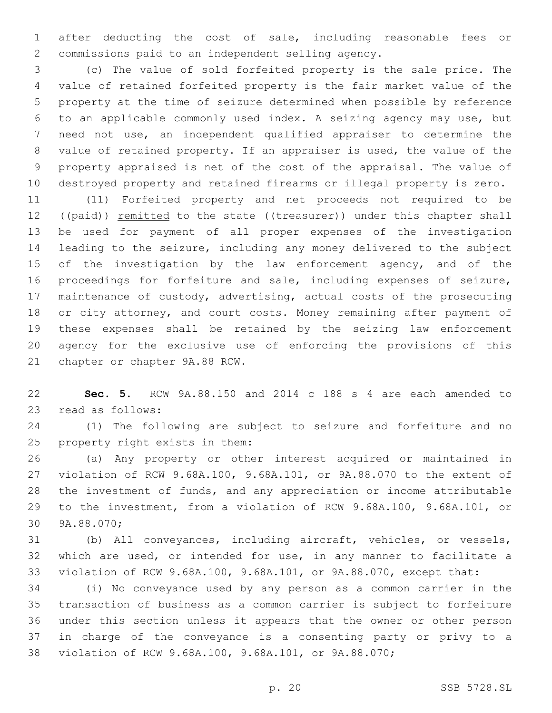after deducting the cost of sale, including reasonable fees or 2 commissions paid to an independent selling agency.

 (c) The value of sold forfeited property is the sale price. The value of retained forfeited property is the fair market value of the property at the time of seizure determined when possible by reference to an applicable commonly used index. A seizing agency may use, but need not use, an independent qualified appraiser to determine the value of retained property. If an appraiser is used, the value of the property appraised is net of the cost of the appraisal. The value of destroyed property and retained firearms or illegal property is zero.

 (11) Forfeited property and net proceeds not required to be 12 ((paid)) remitted to the state ((treasurer)) under this chapter shall be used for payment of all proper expenses of the investigation leading to the seizure, including any money delivered to the subject 15 of the investigation by the law enforcement agency, and of the proceedings for forfeiture and sale, including expenses of seizure, maintenance of custody, advertising, actual costs of the prosecuting or city attorney, and court costs. Money remaining after payment of these expenses shall be retained by the seizing law enforcement agency for the exclusive use of enforcing the provisions of this 21 chapter or chapter 9A.88 RCW.

 **Sec. 5.** RCW 9A.88.150 and 2014 c 188 s 4 are each amended to 23 read as follows:

 (1) The following are subject to seizure and forfeiture and no 25 property right exists in them:

 (a) Any property or other interest acquired or maintained in violation of RCW 9.68A.100, 9.68A.101, or 9A.88.070 to the extent of the investment of funds, and any appreciation or income attributable to the investment, from a violation of RCW 9.68A.100, 9.68A.101, or 30 9A.88.070;

 (b) All conveyances, including aircraft, vehicles, or vessels, which are used, or intended for use, in any manner to facilitate a violation of RCW 9.68A.100, 9.68A.101, or 9A.88.070, except that:

 (i) No conveyance used by any person as a common carrier in the transaction of business as a common carrier is subject to forfeiture under this section unless it appears that the owner or other person in charge of the conveyance is a consenting party or privy to a violation of RCW 9.68A.100, 9.68A.101, or 9A.88.070;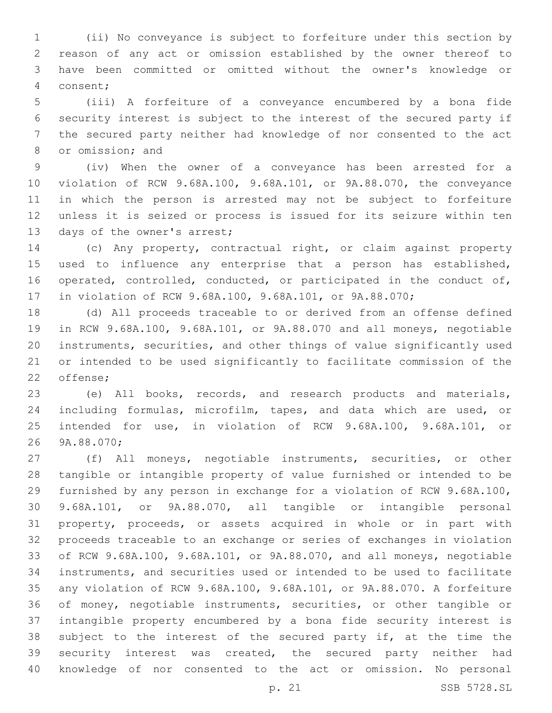(ii) No conveyance is subject to forfeiture under this section by reason of any act or omission established by the owner thereof to have been committed or omitted without the owner's knowledge or consent;4

 (iii) A forfeiture of a conveyance encumbered by a bona fide security interest is subject to the interest of the secured party if the secured party neither had knowledge of nor consented to the act 8 or omission; and

 (iv) When the owner of a conveyance has been arrested for a violation of RCW 9.68A.100, 9.68A.101, or 9A.88.070, the conveyance in which the person is arrested may not be subject to forfeiture unless it is seized or process is issued for its seizure within ten 13 days of the owner's arrest;

 (c) Any property, contractual right, or claim against property used to influence any enterprise that a person has established, operated, controlled, conducted, or participated in the conduct of, in violation of RCW 9.68A.100, 9.68A.101, or 9A.88.070;

 (d) All proceeds traceable to or derived from an offense defined in RCW 9.68A.100, 9.68A.101, or 9A.88.070 and all moneys, negotiable instruments, securities, and other things of value significantly used or intended to be used significantly to facilitate commission of the 22 offense;

 (e) All books, records, and research products and materials, including formulas, microfilm, tapes, and data which are used, or intended for use, in violation of RCW 9.68A.100, 9.68A.101, or 9A.88.070;26

 (f) All moneys, negotiable instruments, securities, or other tangible or intangible property of value furnished or intended to be furnished by any person in exchange for a violation of RCW 9.68A.100, 9.68A.101, or 9A.88.070, all tangible or intangible personal property, proceeds, or assets acquired in whole or in part with proceeds traceable to an exchange or series of exchanges in violation of RCW 9.68A.100, 9.68A.101, or 9A.88.070, and all moneys, negotiable instruments, and securities used or intended to be used to facilitate any violation of RCW 9.68A.100, 9.68A.101, or 9A.88.070. A forfeiture of money, negotiable instruments, securities, or other tangible or intangible property encumbered by a bona fide security interest is 38 subject to the interest of the secured party if, at the time the security interest was created, the secured party neither had knowledge of nor consented to the act or omission. No personal

p. 21 SSB 5728.SL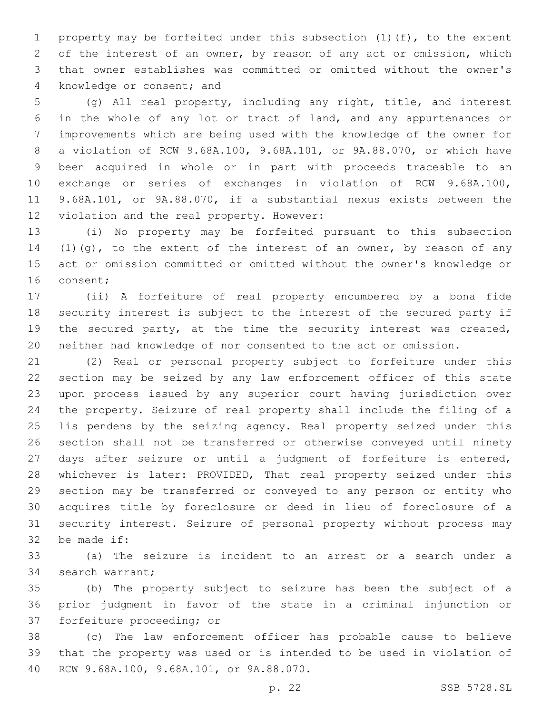property may be forfeited under this subsection (1)(f), to the extent of the interest of an owner, by reason of any act or omission, which that owner establishes was committed or omitted without the owner's 4 knowledge or consent; and

 (g) All real property, including any right, title, and interest in the whole of any lot or tract of land, and any appurtenances or improvements which are being used with the knowledge of the owner for a violation of RCW 9.68A.100, 9.68A.101, or 9A.88.070, or which have been acquired in whole or in part with proceeds traceable to an exchange or series of exchanges in violation of RCW 9.68A.100, 9.68A.101, or 9A.88.070, if a substantial nexus exists between the 12 violation and the real property. However:

 (i) No property may be forfeited pursuant to this subsection 14 (1)(g), to the extent of the interest of an owner, by reason of any act or omission committed or omitted without the owner's knowledge or 16 consent;

 (ii) A forfeiture of real property encumbered by a bona fide security interest is subject to the interest of the secured party if the secured party, at the time the security interest was created, neither had knowledge of nor consented to the act or omission.

 (2) Real or personal property subject to forfeiture under this section may be seized by any law enforcement officer of this state upon process issued by any superior court having jurisdiction over the property. Seizure of real property shall include the filing of a lis pendens by the seizing agency. Real property seized under this section shall not be transferred or otherwise conveyed until ninety days after seizure or until a judgment of forfeiture is entered, whichever is later: PROVIDED, That real property seized under this section may be transferred or conveyed to any person or entity who acquires title by foreclosure or deed in lieu of foreclosure of a security interest. Seizure of personal property without process may 32 be made if:

 (a) The seizure is incident to an arrest or a search under a 34 search warrant;

 (b) The property subject to seizure has been the subject of a prior judgment in favor of the state in a criminal injunction or 37 forfeiture proceeding; or

 (c) The law enforcement officer has probable cause to believe that the property was used or is intended to be used in violation of 40 RCW 9.68A.100, 9.68A.101, or 9A.88.070.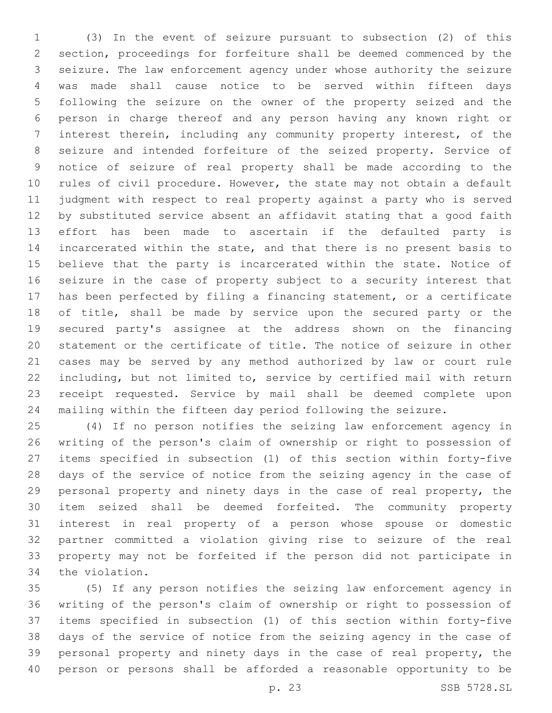(3) In the event of seizure pursuant to subsection (2) of this section, proceedings for forfeiture shall be deemed commenced by the seizure. The law enforcement agency under whose authority the seizure was made shall cause notice to be served within fifteen days following the seizure on the owner of the property seized and the person in charge thereof and any person having any known right or interest therein, including any community property interest, of the seizure and intended forfeiture of the seized property. Service of notice of seizure of real property shall be made according to the rules of civil procedure. However, the state may not obtain a default judgment with respect to real property against a party who is served by substituted service absent an affidavit stating that a good faith effort has been made to ascertain if the defaulted party is incarcerated within the state, and that there is no present basis to believe that the party is incarcerated within the state. Notice of seizure in the case of property subject to a security interest that has been perfected by filing a financing statement, or a certificate 18 of title, shall be made by service upon the secured party or the secured party's assignee at the address shown on the financing statement or the certificate of title. The notice of seizure in other cases may be served by any method authorized by law or court rule including, but not limited to, service by certified mail with return receipt requested. Service by mail shall be deemed complete upon mailing within the fifteen day period following the seizure.

 (4) If no person notifies the seizing law enforcement agency in writing of the person's claim of ownership or right to possession of items specified in subsection (1) of this section within forty-five days of the service of notice from the seizing agency in the case of personal property and ninety days in the case of real property, the item seized shall be deemed forfeited. The community property interest in real property of a person whose spouse or domestic partner committed a violation giving rise to seizure of the real property may not be forfeited if the person did not participate in 34 the violation.

 (5) If any person notifies the seizing law enforcement agency in writing of the person's claim of ownership or right to possession of items specified in subsection (1) of this section within forty-five days of the service of notice from the seizing agency in the case of personal property and ninety days in the case of real property, the person or persons shall be afforded a reasonable opportunity to be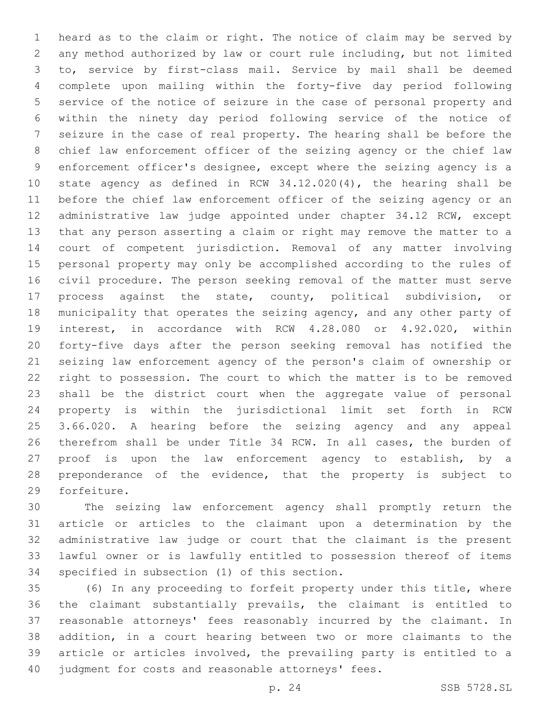heard as to the claim or right. The notice of claim may be served by any method authorized by law or court rule including, but not limited to, service by first-class mail. Service by mail shall be deemed complete upon mailing within the forty-five day period following service of the notice of seizure in the case of personal property and within the ninety day period following service of the notice of seizure in the case of real property. The hearing shall be before the chief law enforcement officer of the seizing agency or the chief law enforcement officer's designee, except where the seizing agency is a state agency as defined in RCW 34.12.020(4), the hearing shall be before the chief law enforcement officer of the seizing agency or an administrative law judge appointed under chapter 34.12 RCW, except that any person asserting a claim or right may remove the matter to a court of competent jurisdiction. Removal of any matter involving personal property may only be accomplished according to the rules of civil procedure. The person seeking removal of the matter must serve process against the state, county, political subdivision, or 18 municipality that operates the seizing agency, and any other party of interest, in accordance with RCW 4.28.080 or 4.92.020, within forty-five days after the person seeking removal has notified the seizing law enforcement agency of the person's claim of ownership or right to possession. The court to which the matter is to be removed shall be the district court when the aggregate value of personal property is within the jurisdictional limit set forth in RCW 3.66.020. A hearing before the seizing agency and any appeal therefrom shall be under Title 34 RCW. In all cases, the burden of proof is upon the law enforcement agency to establish, by a preponderance of the evidence, that the property is subject to 29 forfeiture.

 The seizing law enforcement agency shall promptly return the article or articles to the claimant upon a determination by the administrative law judge or court that the claimant is the present lawful owner or is lawfully entitled to possession thereof of items 34 specified in subsection (1) of this section.

 (6) In any proceeding to forfeit property under this title, where the claimant substantially prevails, the claimant is entitled to reasonable attorneys' fees reasonably incurred by the claimant. In addition, in a court hearing between two or more claimants to the article or articles involved, the prevailing party is entitled to a judgment for costs and reasonable attorneys' fees.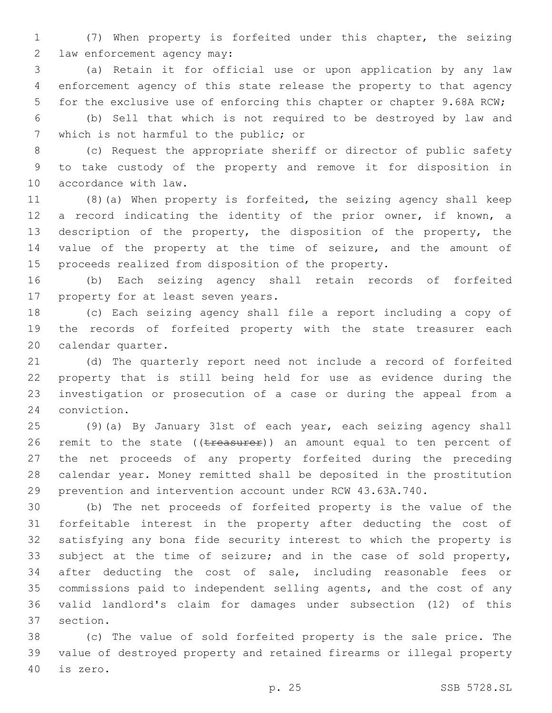(7) When property is forfeited under this chapter, the seizing 2 law enforcement agency may:

 (a) Retain it for official use or upon application by any law enforcement agency of this state release the property to that agency for the exclusive use of enforcing this chapter or chapter 9.68A RCW;

 (b) Sell that which is not required to be destroyed by law and 7 which is not harmful to the public; or

 (c) Request the appropriate sheriff or director of public safety to take custody of the property and remove it for disposition in 10 accordance with law.

 (8)(a) When property is forfeited, the seizing agency shall keep a record indicating the identity of the prior owner, if known, a description of the property, the disposition of the property, the value of the property at the time of seizure, and the amount of proceeds realized from disposition of the property.

 (b) Each seizing agency shall retain records of forfeited 17 property for at least seven years.

 (c) Each seizing agency shall file a report including a copy of the records of forfeited property with the state treasurer each 20 calendar quarter.

 (d) The quarterly report need not include a record of forfeited property that is still being held for use as evidence during the investigation or prosecution of a case or during the appeal from a 24 conviction.

 (9)(a) By January 31st of each year, each seizing agency shall 26 remit to the state ((treasurer)) an amount equal to ten percent of the net proceeds of any property forfeited during the preceding calendar year. Money remitted shall be deposited in the prostitution prevention and intervention account under RCW 43.63A.740.

 (b) The net proceeds of forfeited property is the value of the forfeitable interest in the property after deducting the cost of satisfying any bona fide security interest to which the property is 33 subject at the time of seizure; and in the case of sold property, after deducting the cost of sale, including reasonable fees or commissions paid to independent selling agents, and the cost of any valid landlord's claim for damages under subsection (12) of this 37 section.

 (c) The value of sold forfeited property is the sale price. The value of destroyed property and retained firearms or illegal property 40 is zero.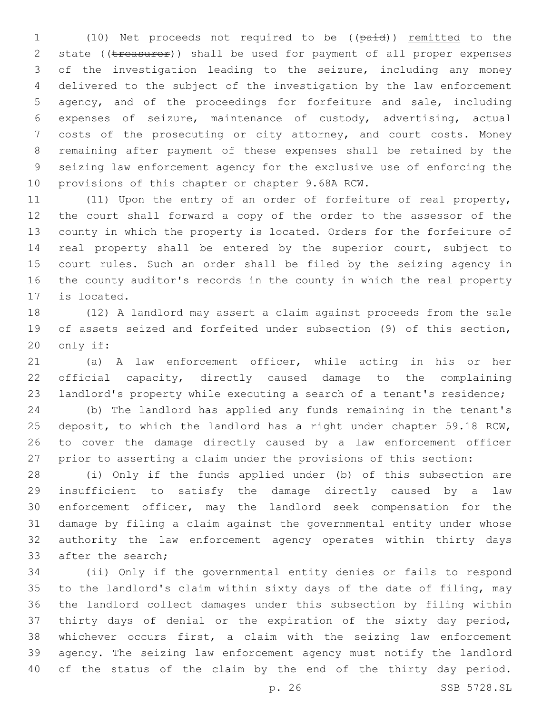1 (10) Net proceeds not required to be ((paid)) remitted to the 2 state ((treasurer)) shall be used for payment of all proper expenses of the investigation leading to the seizure, including any money delivered to the subject of the investigation by the law enforcement agency, and of the proceedings for forfeiture and sale, including expenses of seizure, maintenance of custody, advertising, actual costs of the prosecuting or city attorney, and court costs. Money remaining after payment of these expenses shall be retained by the seizing law enforcement agency for the exclusive use of enforcing the 10 provisions of this chapter or chapter 9.68A RCW.

 (11) Upon the entry of an order of forfeiture of real property, the court shall forward a copy of the order to the assessor of the county in which the property is located. Orders for the forfeiture of real property shall be entered by the superior court, subject to court rules. Such an order shall be filed by the seizing agency in the county auditor's records in the county in which the real property 17 is located.

 (12) A landlord may assert a claim against proceeds from the sale of assets seized and forfeited under subsection (9) of this section, 20 only if:

 (a) A law enforcement officer, while acting in his or her official capacity, directly caused damage to the complaining landlord's property while executing a search of a tenant's residence;

 (b) The landlord has applied any funds remaining in the tenant's deposit, to which the landlord has a right under chapter 59.18 RCW, to cover the damage directly caused by a law enforcement officer prior to asserting a claim under the provisions of this section:

 (i) Only if the funds applied under (b) of this subsection are insufficient to satisfy the damage directly caused by a law enforcement officer, may the landlord seek compensation for the damage by filing a claim against the governmental entity under whose authority the law enforcement agency operates within thirty days 33 after the search:

 (ii) Only if the governmental entity denies or fails to respond to the landlord's claim within sixty days of the date of filing, may the landlord collect damages under this subsection by filing within thirty days of denial or the expiration of the sixty day period, whichever occurs first, a claim with the seizing law enforcement agency. The seizing law enforcement agency must notify the landlord of the status of the claim by the end of the thirty day period.

p. 26 SSB 5728.SL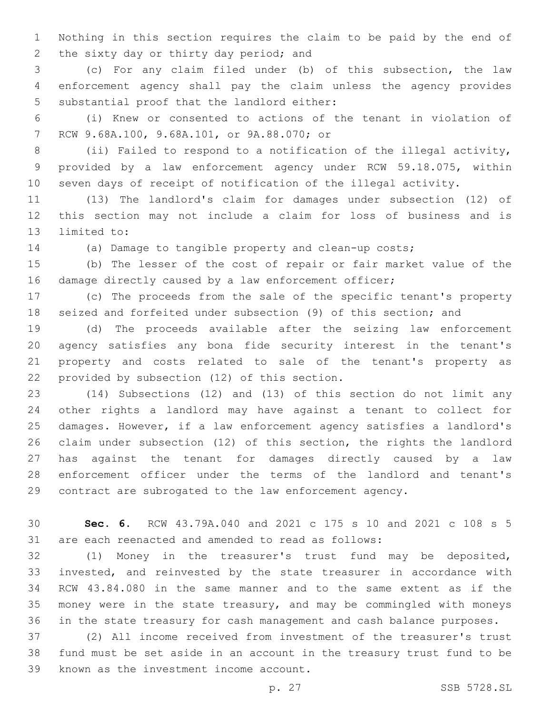Nothing in this section requires the claim to be paid by the end of 2 the sixty day or thirty day period; and

 (c) For any claim filed under (b) of this subsection, the law enforcement agency shall pay the claim unless the agency provides 5 substantial proof that the landlord either:

 (i) Knew or consented to actions of the tenant in violation of 7 RCW 9.68A.100, 9.68A.101, or 9A.88.070; or

 (ii) Failed to respond to a notification of the illegal activity, provided by a law enforcement agency under RCW 59.18.075, within seven days of receipt of notification of the illegal activity.

 (13) The landlord's claim for damages under subsection (12) of this section may not include a claim for loss of business and is 13 limited to:

(a) Damage to tangible property and clean-up costs;

 (b) The lesser of the cost of repair or fair market value of the 16 damage directly caused by a law enforcement officer;

 (c) The proceeds from the sale of the specific tenant's property seized and forfeited under subsection (9) of this section; and

 (d) The proceeds available after the seizing law enforcement agency satisfies any bona fide security interest in the tenant's property and costs related to sale of the tenant's property as 22 provided by subsection (12) of this section.

 (14) Subsections (12) and (13) of this section do not limit any other rights a landlord may have against a tenant to collect for damages. However, if a law enforcement agency satisfies a landlord's claim under subsection (12) of this section, the rights the landlord has against the tenant for damages directly caused by a law enforcement officer under the terms of the landlord and tenant's contract are subrogated to the law enforcement agency.

 **Sec. 6.** RCW 43.79A.040 and 2021 c 175 s 10 and 2021 c 108 s 5 are each reenacted and amended to read as follows:

 (1) Money in the treasurer's trust fund may be deposited, invested, and reinvested by the state treasurer in accordance with RCW 43.84.080 in the same manner and to the same extent as if the money were in the state treasury, and may be commingled with moneys in the state treasury for cash management and cash balance purposes.

 (2) All income received from investment of the treasurer's trust fund must be set aside in an account in the treasury trust fund to be 39 known as the investment income account.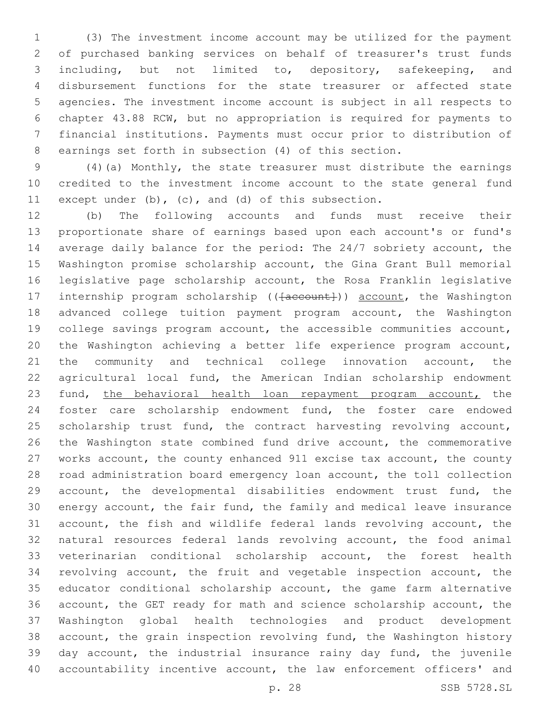(3) The investment income account may be utilized for the payment of purchased banking services on behalf of treasurer's trust funds including, but not limited to, depository, safekeeping, and disbursement functions for the state treasurer or affected state agencies. The investment income account is subject in all respects to chapter 43.88 RCW, but no appropriation is required for payments to financial institutions. Payments must occur prior to distribution of earnings set forth in subsection (4) of this section.

 (4)(a) Monthly, the state treasurer must distribute the earnings credited to the investment income account to the state general fund except under (b), (c), and (d) of this subsection.

 (b) The following accounts and funds must receive their proportionate share of earnings based upon each account's or fund's average daily balance for the period: The 24/7 sobriety account, the Washington promise scholarship account, the Gina Grant Bull memorial legislative page scholarship account, the Rosa Franklin legislative 17 internship program scholarship (( $\{a$ ccount)) account, the Washington advanced college tuition payment program account, the Washington college savings program account, the accessible communities account, the Washington achieving a better life experience program account, 21 the community and technical college innovation account, the agricultural local fund, the American Indian scholarship endowment 23 fund, the behavioral health loan repayment program account, the foster care scholarship endowment fund, the foster care endowed 25 scholarship trust fund, the contract harvesting revolving account, the Washington state combined fund drive account, the commemorative works account, the county enhanced 911 excise tax account, the county road administration board emergency loan account, the toll collection account, the developmental disabilities endowment trust fund, the energy account, the fair fund, the family and medical leave insurance account, the fish and wildlife federal lands revolving account, the natural resources federal lands revolving account, the food animal veterinarian conditional scholarship account, the forest health revolving account, the fruit and vegetable inspection account, the educator conditional scholarship account, the game farm alternative account, the GET ready for math and science scholarship account, the Washington global health technologies and product development account, the grain inspection revolving fund, the Washington history day account, the industrial insurance rainy day fund, the juvenile accountability incentive account, the law enforcement officers' and

p. 28 SSB 5728.SL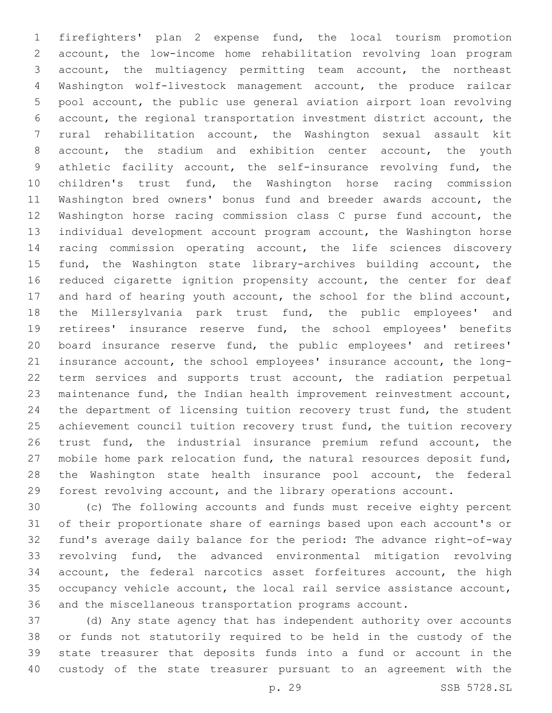firefighters' plan 2 expense fund, the local tourism promotion account, the low-income home rehabilitation revolving loan program account, the multiagency permitting team account, the northeast Washington wolf-livestock management account, the produce railcar pool account, the public use general aviation airport loan revolving account, the regional transportation investment district account, the rural rehabilitation account, the Washington sexual assault kit account, the stadium and exhibition center account, the youth athletic facility account, the self-insurance revolving fund, the children's trust fund, the Washington horse racing commission Washington bred owners' bonus fund and breeder awards account, the Washington horse racing commission class C purse fund account, the individual development account program account, the Washington horse racing commission operating account, the life sciences discovery 15 fund, the Washington state library-archives building account, the reduced cigarette ignition propensity account, the center for deaf and hard of hearing youth account, the school for the blind account, the Millersylvania park trust fund, the public employees' and retirees' insurance reserve fund, the school employees' benefits board insurance reserve fund, the public employees' and retirees' insurance account, the school employees' insurance account, the long- term services and supports trust account, the radiation perpetual maintenance fund, the Indian health improvement reinvestment account, the department of licensing tuition recovery trust fund, the student 25 achievement council tuition recovery trust fund, the tuition recovery trust fund, the industrial insurance premium refund account, the mobile home park relocation fund, the natural resources deposit fund, the Washington state health insurance pool account, the federal forest revolving account, and the library operations account.

 (c) The following accounts and funds must receive eighty percent of their proportionate share of earnings based upon each account's or fund's average daily balance for the period: The advance right-of-way revolving fund, the advanced environmental mitigation revolving account, the federal narcotics asset forfeitures account, the high occupancy vehicle account, the local rail service assistance account, and the miscellaneous transportation programs account.

 (d) Any state agency that has independent authority over accounts or funds not statutorily required to be held in the custody of the state treasurer that deposits funds into a fund or account in the custody of the state treasurer pursuant to an agreement with the

p. 29 SSB 5728.SL